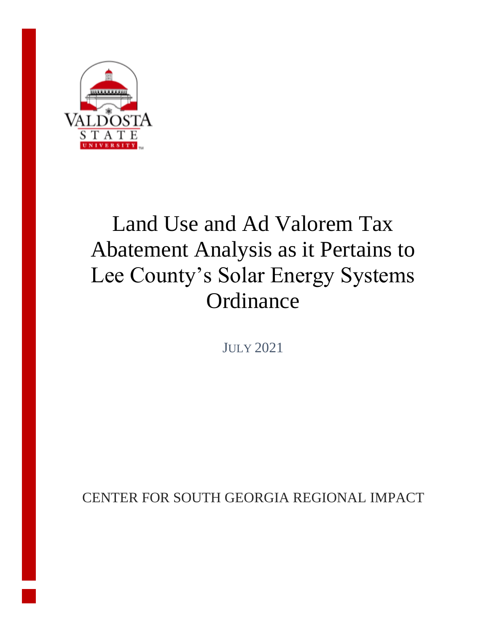

# Land Use and Ad Valorem Tax Abatement Analysis as it Pertains to Lee County's Solar Energy Systems **Ordinance**

JULY 2021

CENTER FOR SOUTH GEORGIA REGIONAL IMPACT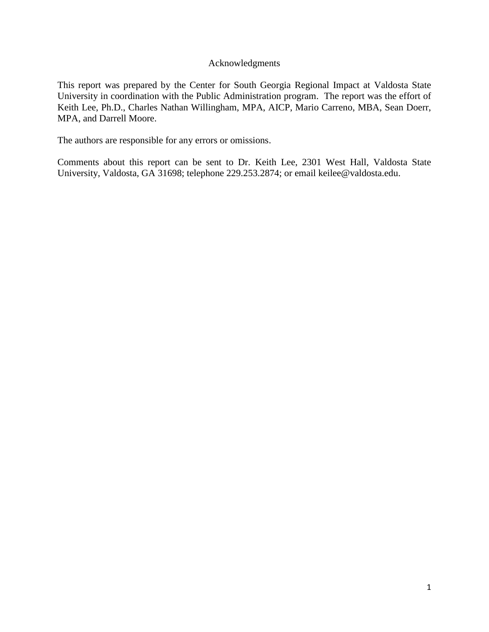#### Acknowledgments

This report was prepared by the Center for South Georgia Regional Impact at Valdosta State University in coordination with the Public Administration program. The report was the effort of Keith Lee, Ph.D., Charles Nathan Willingham, MPA, AICP, Mario Carreno, MBA, Sean Doerr, MPA, and Darrell Moore.

The authors are responsible for any errors or omissions.

Comments about this report can be sent to Dr. Keith Lee, 2301 West Hall, Valdosta State University, Valdosta, GA 31698; telephone 229.253.2874; or email keilee@valdosta.edu.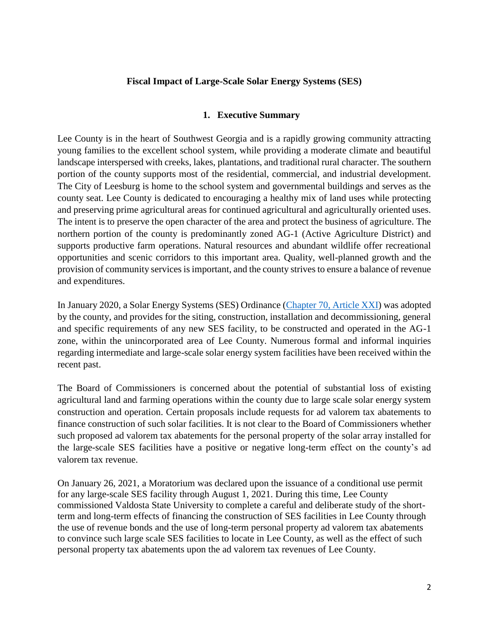# **Fiscal Impact of Large-Scale Solar Energy Systems (SES)**

#### **1. Executive Summary**

Lee County is in the heart of Southwest Georgia and is a rapidly growing community attracting young families to the excellent school system, while providing a moderate climate and beautiful landscape interspersed with creeks, lakes, plantations, and traditional rural character. The southern portion of the county supports most of the residential, commercial, and industrial development. The City of Leesburg is home to the school system and governmental buildings and serves as the county seat. Lee County is dedicated to encouraging a healthy mix of land uses while protecting and preserving prime agricultural areas for continued agricultural and agriculturally oriented uses. The intent is to preserve the open character of the area and protect the business of agriculture. The northern portion of the county is predominantly zoned AG-1 (Active Agriculture District) and supports productive farm operations. Natural resources and abundant wildlife offer recreational opportunities and scenic corridors to this important area. Quality, well-planned growth and the provision of community services is important, and the county strives to ensure a balance of revenue and expenditures.

In January 2020, a Solar Energy Systems (SES) Ordinance [\(Chapter 70, Article XXI\)](https://library.municode.com/ga/lee_county/codes/code_of_ordinances?nodeId=PTIICOOR_CH70ZO_ARTXXISOENSY) was adopted by the county, and provides for the siting, construction, installation and decommissioning, general and specific requirements of any new SES facility, to be constructed and operated in the AG-1 zone, within the unincorporated area of Lee County. Numerous formal and informal inquiries regarding intermediate and large-scale solar energy system facilities have been received within the recent past.

The Board of Commissioners is concerned about the potential of substantial loss of existing agricultural land and farming operations within the county due to large scale solar energy system construction and operation. Certain proposals include requests for ad valorem tax abatements to finance construction of such solar facilities. It is not clear to the Board of Commissioners whether such proposed ad valorem tax abatements for the personal property of the solar array installed for the large-scale SES facilities have a positive or negative long-term effect on the county's ad valorem tax revenue.

On January 26, 2021, a Moratorium was declared upon the issuance of a conditional use permit for any large-scale SES facility through August 1, 2021. During this time, Lee County commissioned Valdosta State University to complete a careful and deliberate study of the shortterm and long-term effects of financing the construction of SES facilities in Lee County through the use of revenue bonds and the use of long-term personal property ad valorem tax abatements to convince such large scale SES facilities to locate in Lee County, as well as the effect of such personal property tax abatements upon the ad valorem tax revenues of Lee County.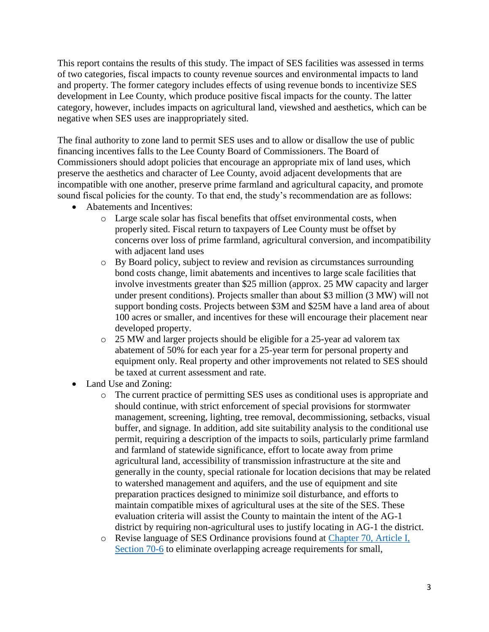This report contains the results of this study. The impact of SES facilities was assessed in terms of two categories, fiscal impacts to county revenue sources and environmental impacts to land and property. The former category includes effects of using revenue bonds to incentivize SES development in Lee County, which produce positive fiscal impacts for the county. The latter category, however, includes impacts on agricultural land, viewshed and aesthetics, which can be negative when SES uses are inappropriately sited.

The final authority to zone land to permit SES uses and to allow or disallow the use of public financing incentives falls to the Lee County Board of Commissioners. The Board of Commissioners should adopt policies that encourage an appropriate mix of land uses, which preserve the aesthetics and character of Lee County, avoid adjacent developments that are incompatible with one another, preserve prime farmland and agricultural capacity, and promote sound fiscal policies for the county. To that end, the study's recommendation are as follows:

- Abatements and Incentives:
	- o Large scale solar has fiscal benefits that offset environmental costs, when properly sited. Fiscal return to taxpayers of Lee County must be offset by concerns over loss of prime farmland, agricultural conversion, and incompatibility with adjacent land uses
	- o By Board policy, subject to review and revision as circumstances surrounding bond costs change, limit abatements and incentives to large scale facilities that involve investments greater than \$25 million (approx. 25 MW capacity and larger under present conditions). Projects smaller than about \$3 million (3 MW) will not support bonding costs. Projects between \$3M and \$25M have a land area of about 100 acres or smaller, and incentives for these will encourage their placement near developed property.
	- o 25 MW and larger projects should be eligible for a 25-year ad valorem tax abatement of 50% for each year for a 25-year term for personal property and equipment only. Real property and other improvements not related to SES should be taxed at current assessment and rate.
- Land Use and Zoning:
	- o The current practice of permitting SES uses as conditional uses is appropriate and should continue, with strict enforcement of special provisions for stormwater management, screening, lighting, tree removal, decommissioning, setbacks, visual buffer, and signage. In addition, add site suitability analysis to the conditional use permit, requiring a description of the impacts to soils, particularly prime farmland and farmland of statewide significance, effort to locate away from prime agricultural land, accessibility of transmission infrastructure at the site and generally in the county, special rationale for location decisions that may be related to watershed management and aquifers, and the use of equipment and site preparation practices designed to minimize soil disturbance, and efforts to maintain compatible mixes of agricultural uses at the site of the SES. These evaluation criteria will assist the County to maintain the intent of the AG-1 district by requiring non-agricultural uses to justify locating in AG-1 the district.
	- o Revise language of SES Ordinance provisions found at [Chapter 70, Article I,](https://library.municode.com/ga/lee_county/codes/code_of_ordinances?nodeId=PTIICOOR_CH70ZO_ARTIIN_S70-6DE)  [Section 70-6](https://library.municode.com/ga/lee_county/codes/code_of_ordinances?nodeId=PTIICOOR_CH70ZO_ARTIIN_S70-6DE) to eliminate overlapping acreage requirements for small,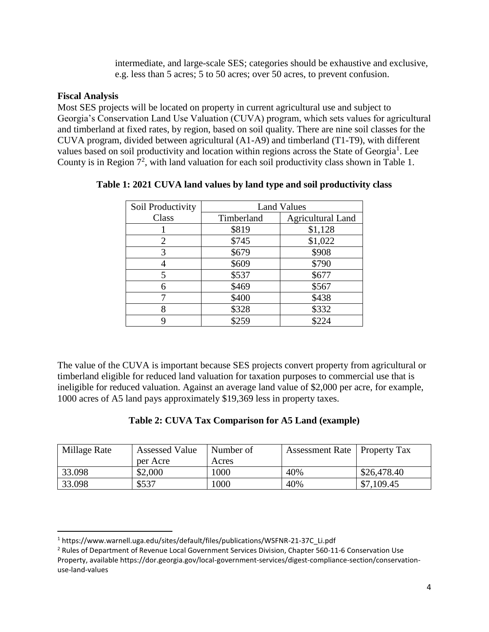intermediate, and large-scale SES; categories should be exhaustive and exclusive, e.g. less than 5 acres; 5 to 50 acres; over 50 acres, to prevent confusion.

### **Fiscal Analysis**

l

Most SES projects will be located on property in current agricultural use and subject to Georgia's Conservation Land Use Valuation (CUVA) program, which sets values for agricultural and timberland at fixed rates, by region, based on soil quality. There are nine soil classes for the CUVA program, divided between agricultural (A1-A9) and timberland (T1-T9), with different values based on soil productivity and location within regions across the State of Georgia<sup>1</sup>. Lee County is in Region  $7^2$ , with land valuation for each soil productivity class shown in Table 1.

| Soil Productivity | <b>Land Values</b> |                          |  |  |
|-------------------|--------------------|--------------------------|--|--|
| Class             | Timberland         | <b>Agricultural Land</b> |  |  |
|                   | \$819              | \$1,128                  |  |  |
| 2                 | \$745              | \$1,022                  |  |  |
| 3                 | \$679              | \$908                    |  |  |
|                   | \$609              | \$790                    |  |  |
| 5                 | \$537              | \$677                    |  |  |
| 6                 | \$469              | \$567                    |  |  |
|                   | \$400              | \$438                    |  |  |
|                   | \$328              | \$332                    |  |  |
|                   | \$259              | \$224                    |  |  |

# **Table 1: 2021 CUVA land values by land type and soil productivity class**

The value of the CUVA is important because SES projects convert property from agricultural or timberland eligible for reduced land valuation for taxation purposes to commercial use that is ineligible for reduced valuation. Against an average land value of \$2,000 per acre, for example, 1000 acres of A5 land pays approximately \$19,369 less in property taxes.

# **Table 2: CUVA Tax Comparison for A5 Land (example)**

| Millage Rate | <b>Assessed Value</b> | Number of | Assessment Rate   Property Tax |             |
|--------------|-----------------------|-----------|--------------------------------|-------------|
|              | per Acre              | Acres     |                                |             |
| 33.098       | \$2,000               | 1000      | 40%                            | \$26,478.40 |
| 33.098       | \$537                 | 1000      | 40%                            | \$7,109.45  |

<sup>1</sup> https://www.warnell.uga.edu/sites/default/files/publications/WSFNR-21-37C\_Li.pdf

<sup>&</sup>lt;sup>2</sup> Rules of Department of Revenue Local Government Services Division, Chapter 560-11-6 Conservation Use Property, available https://dor.georgia.gov/local-government-services/digest-compliance-section/conservationuse-land-values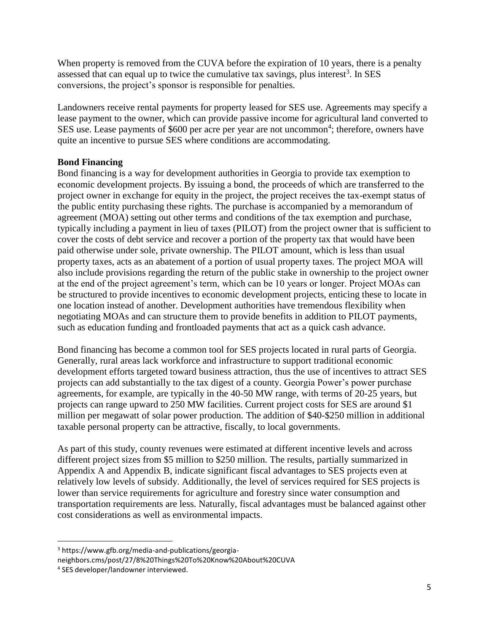When property is removed from the CUVA before the expiration of 10 years, there is a penalty assessed that can equal up to twice the cumulative tax savings, plus interest<sup>3</sup>. In SES conversions, the project's sponsor is responsible for penalties.

Landowners receive rental payments for property leased for SES use. Agreements may specify a lease payment to the owner, which can provide passive income for agricultural land converted to SES use. Lease payments of \$600 per acre per year are not uncommon<sup>4</sup>; therefore, owners have quite an incentive to pursue SES where conditions are accommodating.

# **Bond Financing**

Bond financing is a way for development authorities in Georgia to provide tax exemption to economic development projects. By issuing a bond, the proceeds of which are transferred to the project owner in exchange for equity in the project, the project receives the tax-exempt status of the public entity purchasing these rights. The purchase is accompanied by a memorandum of agreement (MOA) setting out other terms and conditions of the tax exemption and purchase, typically including a payment in lieu of taxes (PILOT) from the project owner that is sufficient to cover the costs of debt service and recover a portion of the property tax that would have been paid otherwise under sole, private ownership. The PILOT amount, which is less than usual property taxes, acts as an abatement of a portion of usual property taxes. The project MOA will also include provisions regarding the return of the public stake in ownership to the project owner at the end of the project agreement's term, which can be 10 years or longer. Project MOAs can be structured to provide incentives to economic development projects, enticing these to locate in one location instead of another. Development authorities have tremendous flexibility when negotiating MOAs and can structure them to provide benefits in addition to PILOT payments, such as education funding and frontloaded payments that act as a quick cash advance.

Bond financing has become a common tool for SES projects located in rural parts of Georgia. Generally, rural areas lack workforce and infrastructure to support traditional economic development efforts targeted toward business attraction, thus the use of incentives to attract SES projects can add substantially to the tax digest of a county. Georgia Power's power purchase agreements, for example, are typically in the 40-50 MW range, with terms of 20-25 years, but projects can range upward to 250 MW facilities. Current project costs for SES are around \$1 million per megawatt of solar power production. The addition of \$40-\$250 million in additional taxable personal property can be attractive, fiscally, to local governments.

As part of this study, county revenues were estimated at different incentive levels and across different project sizes from \$5 million to \$250 million. The results, partially summarized in Appendix A and Appendix B, indicate significant fiscal advantages to SES projects even at relatively low levels of subsidy. Additionally, the level of services required for SES projects is lower than service requirements for agriculture and forestry since water consumption and transportation requirements are less. Naturally, fiscal advantages must be balanced against other cost considerations as well as environmental impacts.

 $\overline{a}$ 

<sup>3</sup> https://www.gfb.org/media-and-publications/georgianeighbors.cms/post/27/8%20Things%20To%20Know%20About%20CUVA

<sup>4</sup> SES developer/landowner interviewed.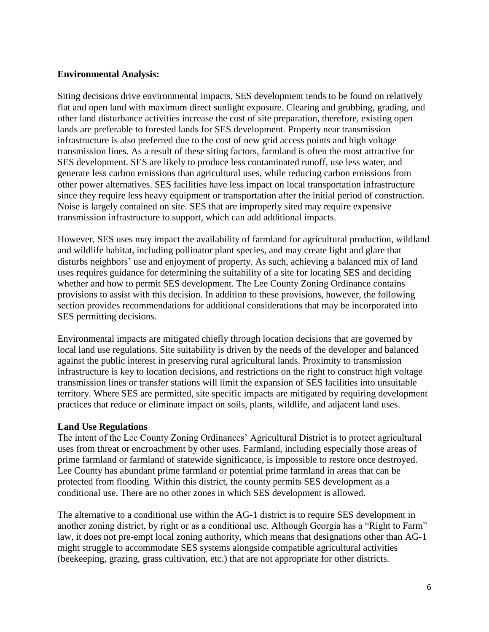# **Environmental Analysis:**

Siting decisions drive environmental impacts. SES development tends to be found on relatively flat and open land with maximum direct sunlight exposure. Clearing and grubbing, grading, and other land disturbance activities increase the cost of site preparation, therefore, existing open lands are preferable to forested lands for SES development. Property near transmission infrastructure is also preferred due to the cost of new grid access points and high voltage transmission lines. As a result of these siting factors, farmland is often the most attractive for SES development. SES are likely to produce less contaminated runoff, use less water, and generate less carbon emissions than agricultural uses, while reducing carbon emissions from other power alternatives. SES facilities have less impact on local transportation infrastructure since they require less heavy equipment or transportation after the initial period of construction. Noise is largely contained on site. SES that are improperly sited may require expensive transmission infrastructure to support, which can add additional impacts.

However, SES uses may impact the availability of farmland for agricultural production, wildland and wildlife habitat, including pollinator plant species, and may create light and glare that disturbs neighbors' use and enjoyment of property. As such, achieving a balanced mix of land uses requires guidance for determining the suitability of a site for locating SES and deciding whether and how to permit SES development. The Lee County Zoning Ordinance contains provisions to assist with this decision. In addition to these provisions, however, the following section provides recommendations for additional considerations that may be incorporated into SES permitting decisions.

Environmental impacts are mitigated chiefly through location decisions that are governed by local land use regulations. Site suitability is driven by the needs of the developer and balanced against the public interest in preserving rural agricultural lands. Proximity to transmission infrastructure is key to location decisions, and restrictions on the right to construct high voltage transmission lines or transfer stations will limit the expansion of SES facilities into unsuitable territory. Where SES are permitted, site specific impacts are mitigated by requiring development practices that reduce or eliminate impact on soils, plants, wildlife, and adjacent land uses.

# **Land Use Regulations**

The intent of the Lee County Zoning Ordinances' Agricultural District is to protect agricultural uses from threat or encroachment by other uses. Farmland, including especially those areas of prime farmland or farmland of statewide significance, is impossible to restore once destroyed. Lee County has abundant prime farmland or potential prime farmland in areas that can be protected from flooding. Within this district, the county permits SES development as a conditional use. There are no other zones in which SES development is allowed.

The alternative to a conditional use within the AG-1 district is to require SES development in another zoning district, by right or as a conditional use. Although Georgia has a "Right to Farm" law, it does not pre-empt local zoning authority, which means that designations other than AG-1 might struggle to accommodate SES systems alongside compatible agricultural activities (beekeeping, grazing, grass cultivation, etc.) that are not appropriate for other districts.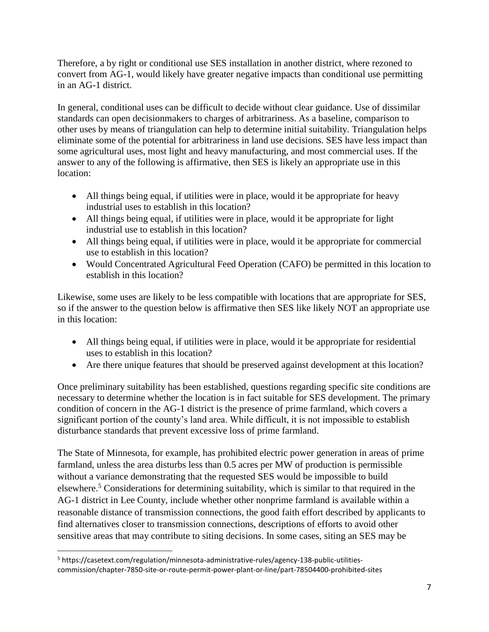Therefore, a by right or conditional use SES installation in another district, where rezoned to convert from AG-1, would likely have greater negative impacts than conditional use permitting in an AG-1 district.

In general, conditional uses can be difficult to decide without clear guidance. Use of dissimilar standards can open decisionmakers to charges of arbitrariness. As a baseline, comparison to other uses by means of triangulation can help to determine initial suitability. Triangulation helps eliminate some of the potential for arbitrariness in land use decisions. SES have less impact than some agricultural uses, most light and heavy manufacturing, and most commercial uses. If the answer to any of the following is affirmative, then SES is likely an appropriate use in this location:

- All things being equal, if utilities were in place, would it be appropriate for heavy industrial uses to establish in this location?
- All things being equal, if utilities were in place, would it be appropriate for light industrial use to establish in this location?
- All things being equal, if utilities were in place, would it be appropriate for commercial use to establish in this location?
- Would Concentrated Agricultural Feed Operation (CAFO) be permitted in this location to establish in this location?

Likewise, some uses are likely to be less compatible with locations that are appropriate for SES, so if the answer to the question below is affirmative then SES like likely NOT an appropriate use in this location:

- All things being equal, if utilities were in place, would it be appropriate for residential uses to establish in this location?
- Are there unique features that should be preserved against development at this location?

Once preliminary suitability has been established, questions regarding specific site conditions are necessary to determine whether the location is in fact suitable for SES development. The primary condition of concern in the AG-1 district is the presence of prime farmland, which covers a significant portion of the county's land area. While difficult, it is not impossible to establish disturbance standards that prevent excessive loss of prime farmland.

The State of Minnesota, for example, has prohibited electric power generation in areas of prime farmland, unless the area disturbs less than 0.5 acres per MW of production is permissible without a variance demonstrating that the requested SES would be impossible to build elsewhere.<sup>5</sup> Considerations for determining suitability, which is similar to that required in the AG-1 district in Lee County, include whether other nonprime farmland is available within a reasonable distance of transmission connections, the good faith effort described by applicants to find alternatives closer to transmission connections, descriptions of efforts to avoid other sensitive areas that may contribute to siting decisions. In some cases, siting an SES may be

<sup>5</sup> https://casetext.com/regulation/minnesota-administrative-rules/agency-138-public-utilitiescommission/chapter-7850-site-or-route-permit-power-plant-or-line/part-78504400-prohibited-sites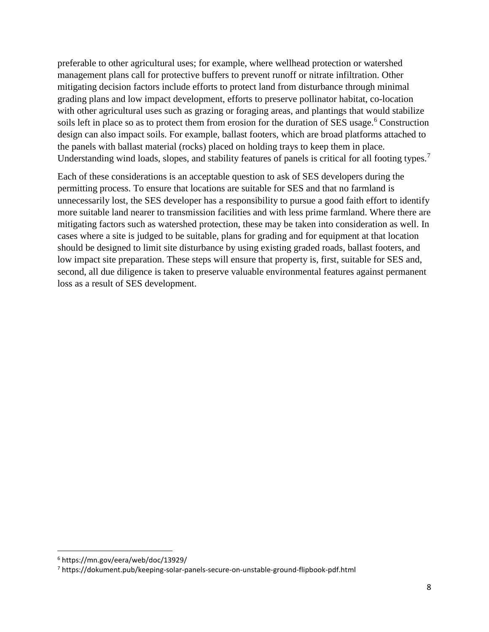preferable to other agricultural uses; for example, where wellhead protection or watershed management plans call for protective buffers to prevent runoff or nitrate infiltration. Other mitigating decision factors include efforts to protect land from disturbance through minimal grading plans and low impact development, efforts to preserve pollinator habitat, co-location with other agricultural uses such as grazing or foraging areas, and plantings that would stabilize soils left in place so as to protect them from erosion for the duration of SES usage.<sup>6</sup> Construction design can also impact soils. For example, ballast footers, which are broad platforms attached to the panels with ballast material (rocks) placed on holding trays to keep them in place. Understanding wind loads, slopes, and stability features of panels is critical for all footing types.<sup>7</sup>

Each of these considerations is an acceptable question to ask of SES developers during the permitting process. To ensure that locations are suitable for SES and that no farmland is unnecessarily lost, the SES developer has a responsibility to pursue a good faith effort to identify more suitable land nearer to transmission facilities and with less prime farmland. Where there are mitigating factors such as watershed protection, these may be taken into consideration as well. In cases where a site is judged to be suitable, plans for grading and for equipment at that location should be designed to limit site disturbance by using existing graded roads, ballast footers, and low impact site preparation. These steps will ensure that property is, first, suitable for SES and, second, all due diligence is taken to preserve valuable environmental features against permanent loss as a result of SES development.

<sup>6</sup> https://mn.gov/eera/web/doc/13929/

<sup>7</sup> https://dokument.pub/keeping-solar-panels-secure-on-unstable-ground-flipbook-pdf.html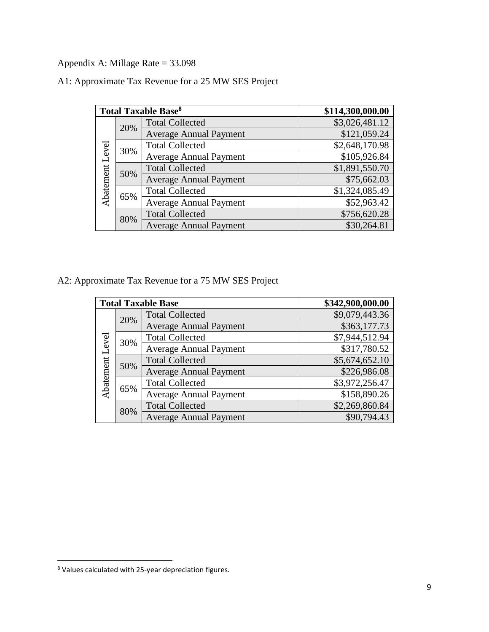Appendix A: Millage Rate = 33.098

|  | A1: Approximate Tax Revenue for a 25 MW SES Project |  |  |  |  |
|--|-----------------------------------------------------|--|--|--|--|
|  |                                                     |  |  |  |  |

|                 |     | <b>Total Taxable Base<sup>8</sup></b> | \$114,300,000.00           |
|-----------------|-----|---------------------------------------|----------------------------|
|                 | 20% | <b>Total Collected</b>                | $$3,026,481.\overline{12}$ |
|                 |     | <b>Average Annual Payment</b>         | \$121,059.24               |
|                 | 30% | <b>Total Collected</b>                | \$2,648,170.98             |
| Abatement Level |     | <b>Average Annual Payment</b>         | \$105,926.84               |
|                 | 50% | <b>Total Collected</b>                | \$1,891,550.70             |
|                 |     | <b>Average Annual Payment</b>         | \$75,662.03                |
|                 | 65% | <b>Total Collected</b>                | \$1,324,085.49             |
|                 |     | <b>Average Annual Payment</b>         | \$52,963.42                |
|                 | 80% | <b>Total Collected</b>                | \$756,620.28               |
|                 |     | <b>Average Annual Payment</b>         | \$30,264.81                |

A2: Approximate Tax Revenue for a 75 MW SES Project

|                 |     | <b>Total Taxable Base</b>     | \$342,900,000.00 |
|-----------------|-----|-------------------------------|------------------|
|                 | 20% | <b>Total Collected</b>        | \$9,079,443.36   |
|                 |     | <b>Average Annual Payment</b> | \$363,177.73     |
|                 | 30% | <b>Total Collected</b>        | \$7,944,512.94   |
| Abatement Level |     | <b>Average Annual Payment</b> | \$317,780.52     |
|                 | 50% | <b>Total Collected</b>        | \$5,674,652.10   |
|                 |     | <b>Average Annual Payment</b> | \$226,986.08     |
|                 |     | <b>Total Collected</b>        | \$3,972,256.47   |
|                 | 65% | <b>Average Annual Payment</b> | \$158,890.26     |
|                 | 80% | <b>Total Collected</b>        | \$2,269,860.84   |
|                 |     | <b>Average Annual Payment</b> | \$90,794.43      |

<sup>&</sup>lt;sup>8</sup> Values calculated with 25-year depreciation figures.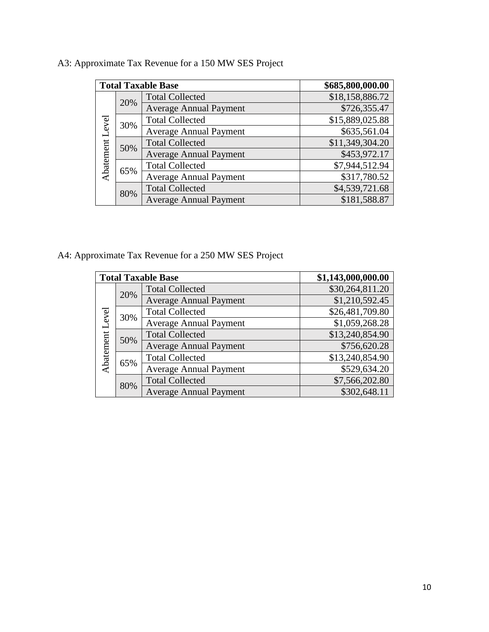|                 |     | <b>Total Taxable Base</b>     | \$685,800,000.00 |
|-----------------|-----|-------------------------------|------------------|
|                 | 20% | <b>Total Collected</b>        | \$18,158,886.72  |
|                 |     | <b>Average Annual Payment</b> | \$726,355.47     |
|                 | 30% | <b>Total Collected</b>        | \$15,889,025.88  |
| Abatement Level |     | <b>Average Annual Payment</b> | \$635,561.04     |
|                 | 50% | <b>Total Collected</b>        | \$11,349,304.20  |
|                 |     | <b>Average Annual Payment</b> | \$453,972.17     |
|                 | 65% | <b>Total Collected</b>        | \$7,944,512.94   |
|                 |     | <b>Average Annual Payment</b> | \$317,780.52     |
|                 | 80% | <b>Total Collected</b>        | \$4,539,721.68   |
|                 |     | <b>Average Annual Payment</b> | \$181,588.87     |

# A3: Approximate Tax Revenue for a 150 MW SES Project

A4: Approximate Tax Revenue for a 250 MW SES Project

|                 |     | <b>Total Taxable Base</b>     | \$1,143,000,000.00 |
|-----------------|-----|-------------------------------|--------------------|
|                 | 20% | <b>Total Collected</b>        | \$30,264,811.20    |
|                 |     | <b>Average Annual Payment</b> | \$1,210,592.45     |
|                 |     | <b>Total Collected</b>        | \$26,481,709.80    |
| Abatement Level | 30% | <b>Average Annual Payment</b> | \$1,059,268.28     |
|                 | 50% | <b>Total Collected</b>        | \$13,240,854.90    |
|                 |     | <b>Average Annual Payment</b> | \$756,620.28       |
|                 |     | <b>Total Collected</b>        | \$13,240,854.90    |
|                 | 65% | <b>Average Annual Payment</b> | \$529,634.20       |
|                 | 80% | <b>Total Collected</b>        | \$7,566,202.80     |
|                 |     | <b>Average Annual Payment</b> | \$302,648.11       |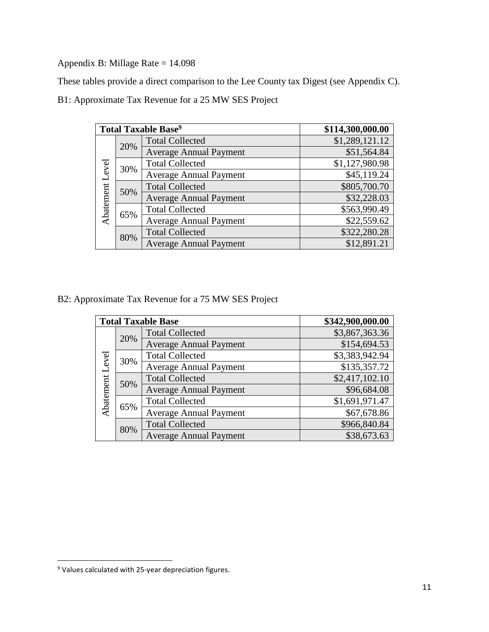Appendix B: Millage Rate = 14.098

These tables provide a direct comparison to the Lee County tax Digest (see Appendix C).

B1: Approximate Tax Revenue for a 25 MW SES Project

|                 |     | <b>Total Taxable Base<sup>9</sup></b> | \$114,300,000.00 |
|-----------------|-----|---------------------------------------|------------------|
|                 | 20% | <b>Total Collected</b>                | \$1,289,121.12   |
|                 |     | <b>Average Annual Payment</b>         | \$51,564.84      |
|                 | 30% | <b>Total Collected</b>                | \$1,127,980.98   |
| Abatement Level |     | <b>Average Annual Payment</b>         | \$45,119.24      |
|                 | 50% | <b>Total Collected</b>                | \$805,700.70     |
|                 |     | <b>Average Annual Payment</b>         | \$32,228.03      |
|                 | 65% | <b>Total Collected</b>                | \$563,990.49     |
|                 |     | <b>Average Annual Payment</b>         | \$22,559.62      |
|                 | 80% | <b>Total Collected</b>                | \$322,280.28     |
|                 |     | <b>Average Annual Payment</b>         | \$12,891.21      |

B2: Approximate Tax Revenue for a 75 MW SES Project

|                 |     | <b>Total Taxable Base</b>     | \$342,900,000.00 |
|-----------------|-----|-------------------------------|------------------|
|                 | 20% | <b>Total Collected</b>        | \$3,867,363.36   |
|                 |     | <b>Average Annual Payment</b> | \$154,694.53     |
|                 | 30% | <b>Total Collected</b>        | \$3,383,942.94   |
| Abatement Level |     | <b>Average Annual Payment</b> | \$135,357.72     |
|                 | 50% | <b>Total Collected</b>        | \$2,417,102.10   |
|                 |     | <b>Average Annual Payment</b> | \$96,684.08      |
|                 |     | <b>Total Collected</b>        | \$1,691,971.47   |
|                 | 65% | <b>Average Annual Payment</b> | \$67,678.86      |
|                 | 80% | <b>Total Collected</b>        | \$966,840.84     |
|                 |     | <b>Average Annual Payment</b> | \$38,673.63      |

<sup>&</sup>lt;sup>9</sup> Values calculated with 25-year depreciation figures.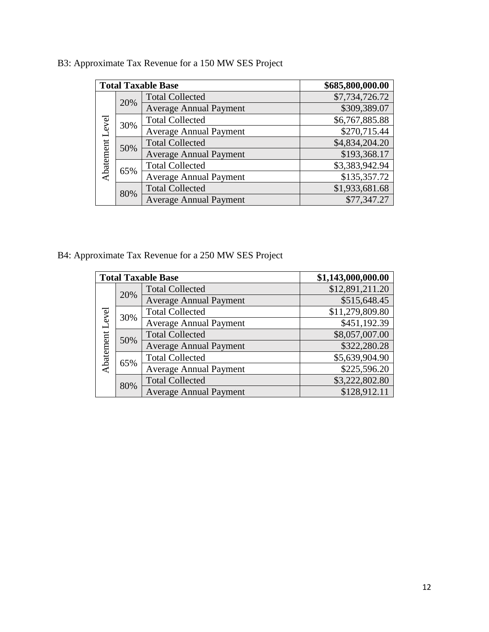|                 |     | <b>Total Taxable Base</b>     | \$685,800,000.00 |
|-----------------|-----|-------------------------------|------------------|
|                 | 20% | <b>Total Collected</b>        | \$7,734,726.72   |
|                 |     | <b>Average Annual Payment</b> | \$309,389.07     |
|                 | 30% | <b>Total Collected</b>        | \$6,767,885.88   |
| Abatement Level |     | <b>Average Annual Payment</b> | \$270,715.44     |
|                 | 50% | <b>Total Collected</b>        | \$4,834,204.20   |
|                 |     | <b>Average Annual Payment</b> | \$193,368.17     |
|                 | 65% | <b>Total Collected</b>        | \$3,383,942.94   |
|                 |     | <b>Average Annual Payment</b> | \$135,357.72     |
|                 | 80% | <b>Total Collected</b>        | \$1,933,681.68   |
|                 |     | <b>Average Annual Payment</b> | \$77,347.27      |

B3: Approximate Tax Revenue for a 150 MW SES Project

B4: Approximate Tax Revenue for a 250 MW SES Project

|                 |     | <b>Total Taxable Base</b>     | \$1,143,000,000.00 |
|-----------------|-----|-------------------------------|--------------------|
|                 | 20% | <b>Total Collected</b>        | \$12,891,211.20    |
|                 |     | <b>Average Annual Payment</b> | \$515,648.45       |
|                 |     | <b>Total Collected</b>        | \$11,279,809.80    |
| Abatement Level | 30% | <b>Average Annual Payment</b> | \$451,192.39       |
|                 | 50% | <b>Total Collected</b>        | \$8,057,007.00     |
|                 |     | <b>Average Annual Payment</b> | \$322,280.28       |
|                 | 65% | <b>Total Collected</b>        | \$5,639,904.90     |
|                 |     | <b>Average Annual Payment</b> | \$225,596.20       |
|                 | 80% | <b>Total Collected</b>        | \$3,222,802.80     |
|                 |     | <b>Average Annual Payment</b> | \$128,912.11       |